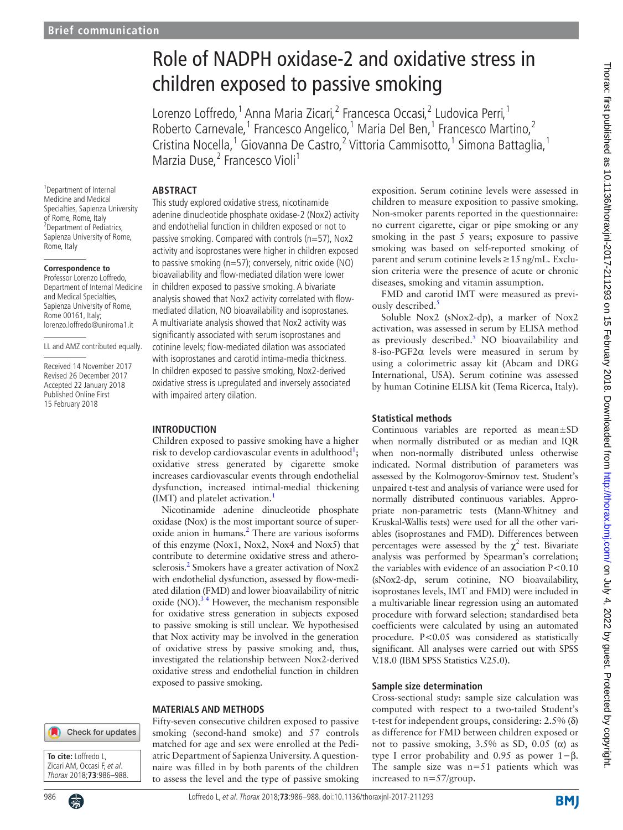# Role of NADPH oxidase-2 and oxidative stress in children exposed to passive smoking

Lorenzo Loffredo,<sup>1</sup> Anna Maria Zicari,<sup>2</sup> Francesca Occasi,<sup>2</sup> Ludovica Perri,<sup>1</sup> Roberto Carnevale,<sup>1</sup> Francesco Angelico,<sup>1</sup> Maria Del Ben,<sup>1</sup> Francesco Martino,<sup>2</sup> Cristina Nocella,<sup>1</sup> Giovanna De Castro,<sup>2</sup> Vittoria Cammisotto,<sup>1</sup> Simona Battaglia,<sup>1</sup> Marzia Duse,<sup>2</sup> Francesco Violi<sup>1</sup>

## **Abstract**

<sup>1</sup>Department of Internal Medicine and Medical Specialties, Sapienza University of Rome, Rome, Italy <sup>2</sup>Department of Pediatrics, Sapienza University of Rome, Rome, Italy

#### **Correspondence to**

Professor Lorenzo Loffredo, Department of Internal Medicine and Medical Specialties, Sapienza University of Rome, Rome 00161, Italy; lorenzo.loffredo@uniroma1.it

LL and AMZ contributed equally.

Received 14 November 2017 Revised 26 December 2017 Accepted 22 January 2018 Published Online First 15 February 2018

This study explored oxidative stress, nicotinamide adenine dinucleotide phosphate oxidase-2 (Nox2) activity and endothelial function in children exposed or not to passive smoking. Compared with controls (n=57), Nox2 activity and isoprostanes were higher in children exposed to passive smoking (n=57); conversely, nitric oxide (NO) bioavailability and flow-mediated dilation were lower in children exposed to passive smoking. A bivariate analysis showed that Nox2 activity correlated with flowmediated dilation, NO bioavailability and isoprostanes. A multivariate analysis showed that Nox2 activity was significantly associated with serum isoprostanes and cotinine levels; flow-mediated dilation was associated with isoprostanes and carotid intima-media thickness. In children exposed to passive smoking, Nox2-derived oxidative stress is upregulated and inversely associated with impaired artery dilation.

#### **Introduction**

Children exposed to passive smoking have a higher risk to develop cardiovascular events in adulthood<sup>[1](#page-2-0)</sup>; oxidative stress generated by cigarette smoke increases cardiovascular events through endothelial dysfunction, increased intimal-medial thickening (IMT) and platelet activation.<sup>1</sup>

Nicotinamide adenine dinucleotide phosphate oxidase (Nox) is the most important source of superoxide anion in humans.<sup>2</sup> There are various isoforms of this enzyme (Nox1, Nox2, Nox4 and Nox5) that contribute to determine oxidative stress and atherosclerosis.<sup>2</sup> Smokers have a greater activation of Nox2 with endothelial dysfunction, assessed by flow-mediated dilation (FMD) and lower bioavailability of nitric oxide (NO). $3<sup>4</sup>$  However, the mechanism responsible for oxidative stress generation in subjects exposed to passive smoking is still unclear. We hypothesised that Nox activity may be involved in the generation of oxidative stress by passive smoking and, thus, investigated the relationship between Nox2-derived oxidative stress and endothelial function in children exposed to passive smoking.

## **Materials and methods**



**To cite:** Loffredo L, Zicari AM, Occasi F, et al. Thorax 2018;**73**:986–988.



Fifty-seven consecutive children exposed to passive smoking (second-hand smoke) and 57 controls matched for age and sex were enrolled at the Pediatric Department of Sapienza University. A questionnaire was filled in by both parents of the children to assess the level and the type of passive smoking

exposition. Serum cotinine levels were assessed in children to measure exposition to passive smoking. Non-smoker parents reported in the questionnaire: no current cigarette, cigar or pipe smoking or any smoking in the past 5 years; exposure to passive smoking was based on self-reported smoking of parent and serum cotinine levels≥15ng/mL. Exclusion criteria were the presence of acute or chronic diseases, smoking and vitamin assumption.

FMD and carotid IMT were measured as previously described.<sup>5</sup>

Soluble Nox2 (sNox2-dp), a marker of Nox2 activation, was assessed in serum by ELISA method as previously described. $5$  NO bioavailability and 8-iso-PGF2α levels were measured in serum by using a colorimetric assay kit (Abcam and DRG International, USA). Serum cotinine was assessed by human Cotinine ELISA kit (Tema Ricerca, Italy).

## **Statistical methods**

Continuous variables are reported as mean±SD when normally distributed or as median and IQR when non-normally distributed unless otherwise indicated. Normal distribution of parameters was assessed by the Kolmogorov-Smirnov test. Student's unpaired t-test and analysis of variance were used for normally distributed continuous variables. Appropriate non-parametric tests (Mann-Whitney and Kruskal-Wallis tests) were used for all the other variables (isoprostanes and FMD). Differences between percentages were assessed by the  $\chi^2$  test. Bivariate analysis was performed by Spearman's correlation; the variables with evidence of an association P<0.10 (sNox2-dp, serum cotinine, NO bioavailability, isoprostanes levels, IMT and FMD) were included in a multivariable linear regression using an automated procedure with forward selection; standardised beta coefficients were calculated by using an automated procedure. P<0.05 was considered as statistically significant. All analyses were carried out with SPSS V.18.0 (IBM SPSS Statistics V.25.0).

## **Sample size determination**

Cross-sectional study: sample size calculation was computed with respect to a two-tailed Student's t-test for independent groups, considering: 2.5% (δ) as difference for FMD between children exposed or not to passive smoking,  $3.5%$  as SD,  $0.05$  (α) as type I error probability and 0.95 as power 1−β. The sample size was  $n=51$  patients which was increased to n=57/group.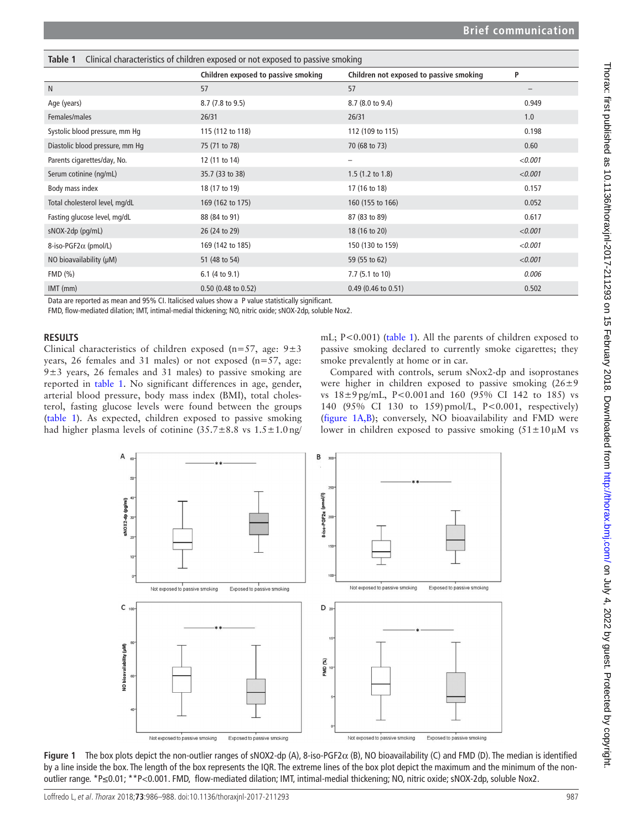<span id="page-1-0"></span>

| Clinical characteristics of children exposed or not exposed to passive smoking<br>Table 1 |                                     |                                         |                   |
|-------------------------------------------------------------------------------------------|-------------------------------------|-----------------------------------------|-------------------|
|                                                                                           | Children exposed to passive smoking | Children not exposed to passive smoking | P                 |
| N                                                                                         | 57                                  | 57                                      | $\qquad \qquad -$ |
| Age (years)                                                                               | 8.7 (7.8 to 9.5)                    | 8.7 (8.0 to 9.4)                        | 0.949             |
| Females/males                                                                             | 26/31                               | 26/31                                   | 1.0               |
| Systolic blood pressure, mm Hg                                                            | 115 (112 to 118)                    | 112 (109 to 115)                        | 0.198             |
| Diastolic blood pressure, mm Hq                                                           | 75 (71 to 78)                       | 70 (68 to 73)                           | 0.60              |
| Parents cigarettes/day, No.                                                               | 12 (11 to 14)                       | $\overline{\phantom{0}}$                | < 0.001           |
| Serum cotinine (ng/mL)                                                                    | 35.7 (33 to 38)                     | $1.5(1.2 \text{ to } 1.8)$              | < 0.001           |
| Body mass index                                                                           | 18 (17 to 19)                       | 17 (16 to 18)                           | 0.157             |
| Total cholesterol level, mg/dL                                                            | 169 (162 to 175)                    | 160 (155 to 166)                        | 0.052             |
| Fasting glucose level, mg/dL                                                              | 88 (84 to 91)                       | 87 (83 to 89)                           | 0.617             |
| sNOX-2dp (pg/mL)                                                                          | 26 (24 to 29)                       | 18 (16 to 20)                           | < 0.001           |
| 8-iso-PGF2α (pmol/L)                                                                      | 169 (142 to 185)                    | 150 (130 to 159)                        | < 0.001           |
| NO bioavailability (µM)                                                                   | 51 (48 to 54)                       | 59 (55 to 62)                           | < 0.001           |
| FMD (%)                                                                                   | 6.1 (4 to $9.1$ )                   | 7.7 (5.1 to 10)                         | 0.006             |
| $IMT$ (mm)                                                                                | $0.50$ (0.48 to 0.52)               | $0.49$ (0.46 to 0.51)                   | 0.502             |

Data are reported as mean and 95% CI. Italicised values show a P value statistically significant.

FMD, flow-mediated dilation; IMT, intimal-medial thickening; NO, nitric oxide; sNOX-2dp, soluble Nox2.

#### **Results**

Clinical characteristics of children exposed (n=57, age:  $9±3$ years, 26 females and 31 males) or not exposed (n=57, age:  $9±3$  years, 26 females and 31 males) to passive smoking are reported in [table](#page-1-0) 1. No significant differences in age, gender, arterial blood pressure, body mass index (BMI), total cholesterol, fasting glucose levels were found between the groups ([table](#page-1-0) 1). As expected, children exposed to passive smoking had higher plasma levels of cotinine  $(35.7 \pm 8.8 \text{ vs } 1.5 \pm 1.0 \text{ ng/m}^2)$ 

mL; P<0.001) ([table](#page-1-0) 1). All the parents of children exposed to passive smoking declared to currently smoke cigarettes; they smoke prevalently at home or in car.

Compared with controls, serum sNox2-dp and isoprostanes were higher in children exposed to passive smoking  $(26\pm9)$ vs 18±9pg/mL, P<0.001and 160 (95% CI 142 to 185) vs 140 (95% CI 130 to 159)pmol/L, P<0.001, respectively) ([figure](#page-1-1) 1A,B); conversely, NO bioavailability and FMD were lower in children exposed to passive smoking  $(51 \pm 10 \,\mu\text{M})$  vs



<span id="page-1-1"></span>**Figure 1** The box plots depict the non-outlier ranges of sNOX2-dp (A), 8-iso-PGF2 $α$  (B), NO bioavailability (C) and FMD (D). The median is identified by a line inside the box. The length of the box represents the IQR. The extreme lines of the box plot depict the maximum and the minimum of the nonoutlier range. \*P≤0.01; \*\*P<0.001. FMD, flow-mediated dilation; IMT, intimal-medial thickening; NO, nitric oxide; sNOX-2dp, soluble Nox2.